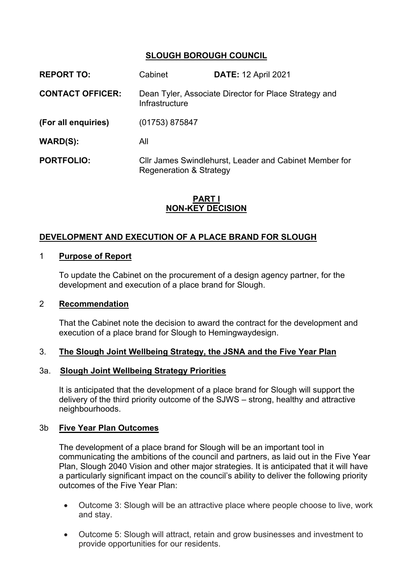## **SLOUGH BOROUGH COUNCIL**

| <b>REPORT TO:</b>       | Cabinet                                                                           | <b>DATE: 12 April 2021</b> |
|-------------------------|-----------------------------------------------------------------------------------|----------------------------|
| <b>CONTACT OFFICER:</b> | Dean Tyler, Associate Director for Place Strategy and<br>Infrastructure           |                            |
| (For all enquiries)     | $(01753)$ 875847                                                                  |                            |
| WARD(S):                | All                                                                               |                            |
| <b>PORTFOLIO:</b>       | Cllr James Swindlehurst, Leader and Cabinet Member for<br>Regeneration & Strategy |                            |

## **PART I NON-KEY DECISION**

# **DEVELOPMENT AND EXECUTION OF A PLACE BRAND FOR SLOUGH**

## 1 **Purpose of Report**

To update the Cabinet on the procurement of a design agency partner, for the development and execution of a place brand for Slough.

#### 2 **Recommendation**

That the Cabinet note the decision to award the contract for the development and execution of a place brand for Slough to Hemingwaydesign.

## 3. **The Slough Joint Wellbeing Strategy, the JSNA and the Five Year Plan**

#### 3a. **Slough Joint Wellbeing Strategy Priorities**

It is anticipated that the development of a place brand for Slough will support the delivery of the third priority outcome of the SJWS – strong, healthy and attractive neighbourhoods.

## 3b **Five Year Plan Outcomes**

The development of a place brand for Slough will be an important tool in communicating the ambitions of the council and partners, as laid out in the Five Year Plan, Slough 2040 Vision and other major strategies. It is anticipated that it will have a particularly significant impact on the council's ability to deliver the following priority outcomes of the Five Year Plan:

- Outcome 3: Slough will be an attractive place where people choose to live, work and stay.
- Outcome 5: Slough will attract, retain and grow businesses and investment to provide opportunities for our residents.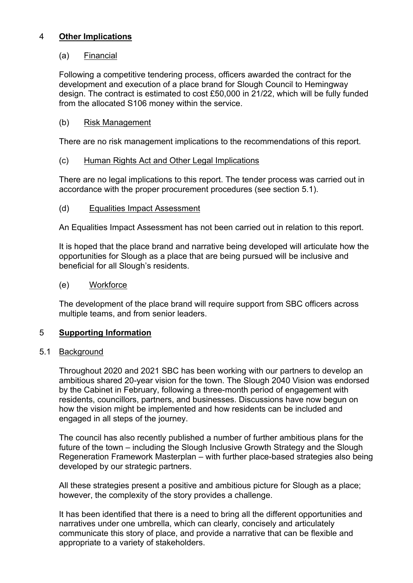# 4 **Other Implications**

## (a) Financial

Following a competitive tendering process, officers awarded the contract for the development and execution of a place brand for Slough Council to Hemingway design. The contract is estimated to cost £50,000 in 21/22, which will be fully funded from the allocated S106 money within the service.

# (b) Risk Management

There are no risk management implications to the recommendations of this report.

# (c) Human Rights Act and Other Legal Implications

There are no legal implications to this report. The tender process was carried out in accordance with the proper procurement procedures (see section 5.1).

## (d) Equalities Impact Assessment

An Equalities Impact Assessment has not been carried out in relation to this report.

It is hoped that the place brand and narrative being developed will articulate how the opportunities for Slough as a place that are being pursued will be inclusive and beneficial for all Slough's residents.

## (e) Workforce

The development of the place brand will require support from SBC officers across multiple teams, and from senior leaders.

## 5 **Supporting Information**

## 5.1 Background

Throughout 2020 and 2021 SBC has been working with our partners to develop an ambitious shared 20-year vision for the town. The Slough 2040 Vision was endorsed by the Cabinet in February, following a three-month period of engagement with residents, councillors, partners, and businesses. Discussions have now begun on how the vision might be implemented and how residents can be included and engaged in all steps of the journey.

The council has also recently published a number of further ambitious plans for the future of the town – including the Slough Inclusive Growth Strategy and the Slough Regeneration Framework Masterplan – with further place-based strategies also being developed by our strategic partners.

All these strategies present a positive and ambitious picture for Slough as a place; however, the complexity of the story provides a challenge.

It has been identified that there is a need to bring all the different opportunities and narratives under one umbrella, which can clearly, concisely and articulately communicate this story of place, and provide a narrative that can be flexible and appropriate to a variety of stakeholders.